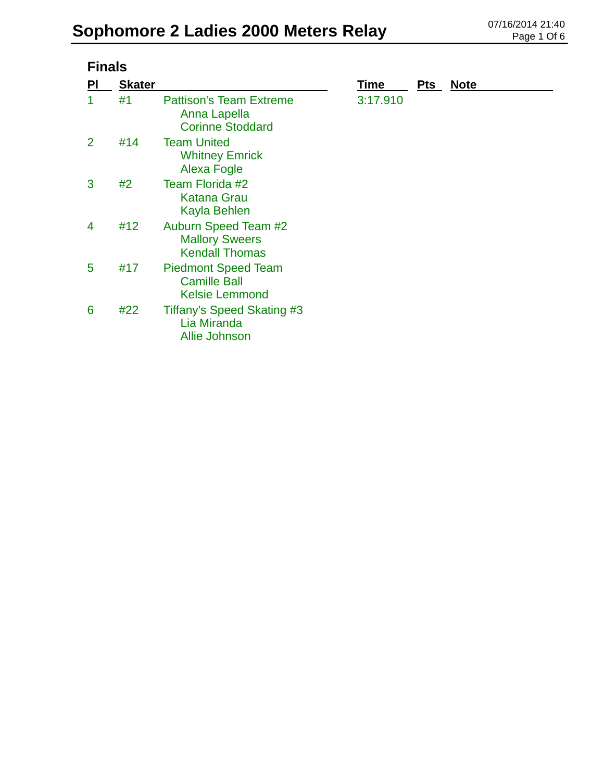| <b>Finals</b> |               |                                                                               |             |            |             |  |
|---------------|---------------|-------------------------------------------------------------------------------|-------------|------------|-------------|--|
| PI            | <b>Skater</b> |                                                                               | <u>Time</u> | <b>Pts</b> | <b>Note</b> |  |
| 1             | #1            | <b>Pattison's Team Extreme</b><br>Anna Lapella<br><b>Corinne Stoddard</b>     | 3:17.910    |            |             |  |
| 2             | #14           | <b>Team United</b><br><b>Whitney Emrick</b><br>Alexa Fogle                    |             |            |             |  |
| 3             | #2            | Team Florida #2<br><b>Katana Grau</b><br>Kayla Behlen                         |             |            |             |  |
| 4             | #12           | <b>Auburn Speed Team #2</b><br><b>Mallory Sweers</b><br><b>Kendall Thomas</b> |             |            |             |  |
| 5             | #17           | <b>Piedmont Speed Team</b><br><b>Camille Ball</b><br><b>Kelsie Lemmond</b>    |             |            |             |  |
| 6             | #22           | Tiffany's Speed Skating #3<br>Lia Miranda<br><b>Allie Johnson</b>             |             |            |             |  |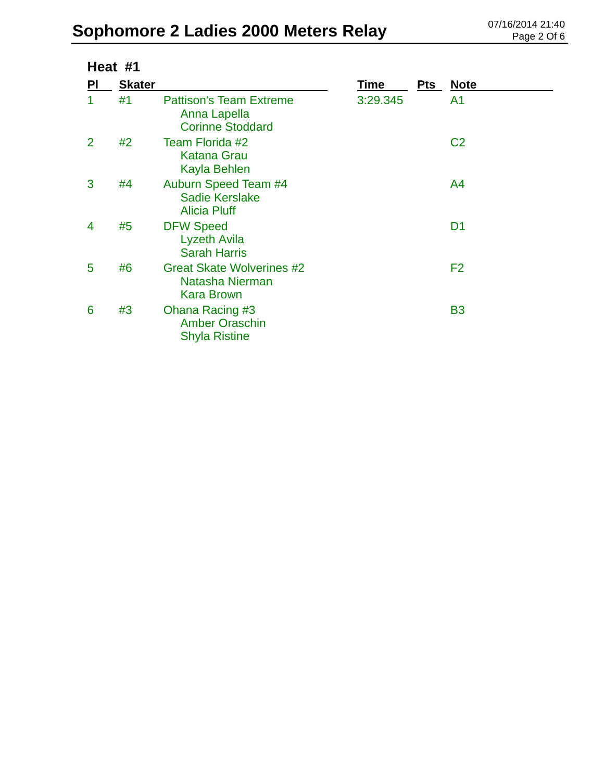|    | Heat #1       |                                                                           |          |     |                |  |
|----|---------------|---------------------------------------------------------------------------|----------|-----|----------------|--|
| PI | <b>Skater</b> |                                                                           | Time     | Pts | <b>Note</b>    |  |
| 1  | #1            | <b>Pattison's Team Extreme</b><br>Anna Lapella<br><b>Corinne Stoddard</b> | 3:29.345 |     | A <sub>1</sub> |  |
| 2  | #2            | Team Florida #2<br><b>Katana Grau</b><br>Kayla Behlen                     |          |     | C <sub>2</sub> |  |
| 3  | #4            | Auburn Speed Team #4<br><b>Sadie Kerslake</b><br><b>Alicia Pluff</b>      |          |     | A <sup>4</sup> |  |
| 4  | #5            | <b>DFW Speed</b><br>Lyzeth Avila<br><b>Sarah Harris</b>                   |          |     | D <sub>1</sub> |  |
| 5  | #6            | <b>Great Skate Wolverines #2</b><br>Natasha Nierman<br><b>Kara Brown</b>  |          |     | F <sub>2</sub> |  |
| 6  | #3            | Ohana Racing #3<br><b>Amber Oraschin</b><br><b>Shyla Ristine</b>          |          |     | <b>B3</b>      |  |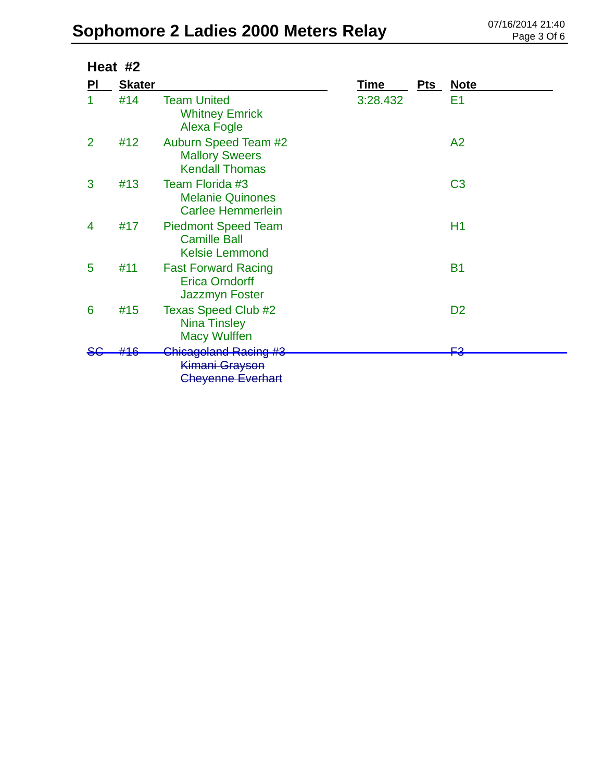|                | Heat #2       |                                                                               |          |            |                |  |  |
|----------------|---------------|-------------------------------------------------------------------------------|----------|------------|----------------|--|--|
| PI             | <b>Skater</b> |                                                                               | Time     | <b>Pts</b> | <u>Note</u>    |  |  |
|                | #14           | <b>Team United</b><br><b>Whitney Emrick</b><br>Alexa Fogle                    | 3:28.432 |            | E1             |  |  |
| $\overline{2}$ | #12           | <b>Auburn Speed Team #2</b><br><b>Mallory Sweers</b><br><b>Kendall Thomas</b> |          |            | A2             |  |  |
| 3              | #13           | Team Florida #3<br><b>Melanie Quinones</b><br><b>Carlee Hemmerlein</b>        |          |            | C <sub>3</sub> |  |  |
| 4              | #17           | <b>Piedmont Speed Team</b><br><b>Camille Ball</b><br><b>Kelsie Lemmond</b>    |          |            | H1             |  |  |
| 5              | #11           | <b>Fast Forward Racing</b><br><b>Erica Orndorff</b><br><b>Jazzmyn Foster</b>  |          |            | <b>B1</b>      |  |  |
| 6              | #15           | <b>Texas Speed Club #2</b><br><b>Nina Tinsley</b><br><b>Macy Wulffen</b>      |          |            | D <sub>2</sub> |  |  |
|                |               | Chicagoland Racing #3<br>Kimani Grayson<br><b>Cheyenne Everhart</b>           |          |            | ⊵⊇             |  |  |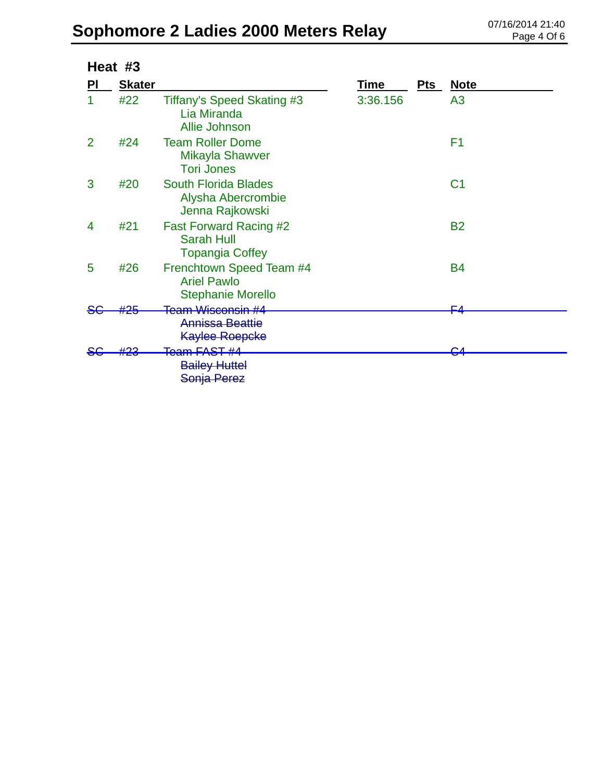|               | Heat #3       |                                                                                 |          |     |                |  |  |
|---------------|---------------|---------------------------------------------------------------------------------|----------|-----|----------------|--|--|
| PI            | <b>Skater</b> |                                                                                 | Time     | Pts | <b>Note</b>    |  |  |
|               | #22           | Tiffany's Speed Skating #3<br>Lia Miranda<br>Allie Johnson                      | 3:36.156 |     | A <sub>3</sub> |  |  |
| $\mathcal{P}$ | #24           | <b>Team Roller Dome</b><br>Mikayla Shawver<br><b>Tori Jones</b>                 |          |     | F <sub>1</sub> |  |  |
| 3             | #20           | <b>South Florida Blades</b><br>Alysha Abercrombie<br>Jenna Rajkowski            |          |     | C <sub>1</sub> |  |  |
| 4             | #21           | <b>Fast Forward Racing #2</b><br><b>Sarah Hull</b><br><b>Topangia Coffey</b>    |          |     | <b>B2</b>      |  |  |
| 5             | #26           | Frenchtown Speed Team #4<br><b>Ariel Pawlo</b><br><b>Stephanie Morello</b>      |          |     | <b>B4</b>      |  |  |
|               | ∔Ω⊳           | <del>Team Wisconsin #4</del><br><b>Annissa Beattie</b><br><b>Kaylee Roepcke</b> |          |     | ⊏⊿             |  |  |
|               |               | <del>Team FAST #4</del><br><b>Bailey Huttel</b><br>Sonja Perez                  |          |     |                |  |  |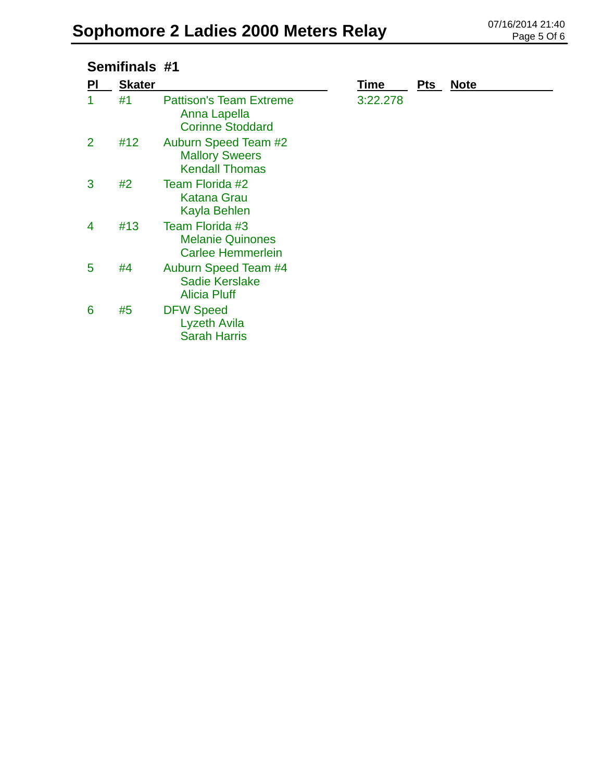| Semifinals #1 |               |                                                                           |             |            |             |
|---------------|---------------|---------------------------------------------------------------------------|-------------|------------|-------------|
| <b>PI</b>     | <b>Skater</b> |                                                                           | <b>Time</b> | <b>Pts</b> | <b>Note</b> |
|               | #1            | <b>Pattison's Team Extreme</b><br>Anna Lapella<br><b>Corinne Stoddard</b> | 3:22.278    |            |             |
| 2             | #12           | Auburn Speed Team #2<br><b>Mallory Sweers</b><br><b>Kendall Thomas</b>    |             |            |             |
| 3             | #2            | Team Florida #2<br><b>Katana Grau</b><br>Kayla Behlen                     |             |            |             |
| 4             | #13           | Team Florida #3<br><b>Melanie Quinones</b><br><b>Carlee Hemmerlein</b>    |             |            |             |
| 5             | #4            | Auburn Speed Team #4<br><b>Sadie Kerslake</b><br><b>Alicia Pluff</b>      |             |            |             |
| 6             | #5            | <b>DFW Speed</b><br>Lyzeth Avila<br><b>Sarah Harris</b>                   |             |            |             |